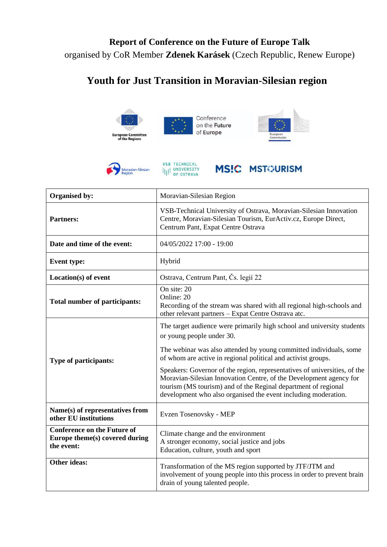## **Report of Conference on the Future of Europe Talk** organised by CoR Member **Zdenek Karásek** (Czech Republic, Renew Europe)

## **Youth for Just Transition in Moravian-Silesian region**



| Organised by:                                                                      | Moravian-Silesian Region                                                                                                                                                                                                                                                            |
|------------------------------------------------------------------------------------|-------------------------------------------------------------------------------------------------------------------------------------------------------------------------------------------------------------------------------------------------------------------------------------|
| <b>Partners:</b>                                                                   | VSB-Technical University of Ostrava, Moravian-Silesian Innovation<br>Centre, Moravian-Silesian Tourism, EurActiv.cz, Europe Direct,<br>Centrum Pant, Expat Centre Ostrava                                                                                                           |
| Date and time of the event:                                                        | 04/05/2022 17:00 - 19:00                                                                                                                                                                                                                                                            |
| <b>Event type:</b>                                                                 | Hybrid                                                                                                                                                                                                                                                                              |
| Location(s) of event                                                               | Ostrava, Centrum Pant, Čs. legií 22                                                                                                                                                                                                                                                 |
| Total number of participants:                                                      | On site: 20<br>Online: 20<br>Recording of the stream was shared with all regional high-schools and<br>other relevant partners - Expat Centre Ostrava atc.                                                                                                                           |
|                                                                                    | The target audience were primarily high school and university students<br>or young people under 30.<br>The webinar was also attended by young committed individuals, some<br>of whom are active in regional political and activist groups.                                          |
| Type of participants:                                                              | Speakers: Governor of the region, representatives of universities, of the<br>Moravian-Silesian Innovation Centre, of the Development agency for<br>tourism (MS tourism) and of the Reginal department of regional<br>development who also organised the event including moderation. |
| Name(s) of representatives from<br>other EU institutions                           | Evzen Tosenovsky - MEP                                                                                                                                                                                                                                                              |
| <b>Conference on the Future of</b><br>Europe theme(s) covered during<br>the event: | Climate change and the environment<br>A stronger economy, social justice and jobs<br>Education, culture, youth and sport                                                                                                                                                            |
| <b>Other ideas:</b>                                                                | Transformation of the MS region supported by JTF/JTM and<br>involvement of young people into this process in order to prevent brain<br>drain of young talented people.                                                                                                              |